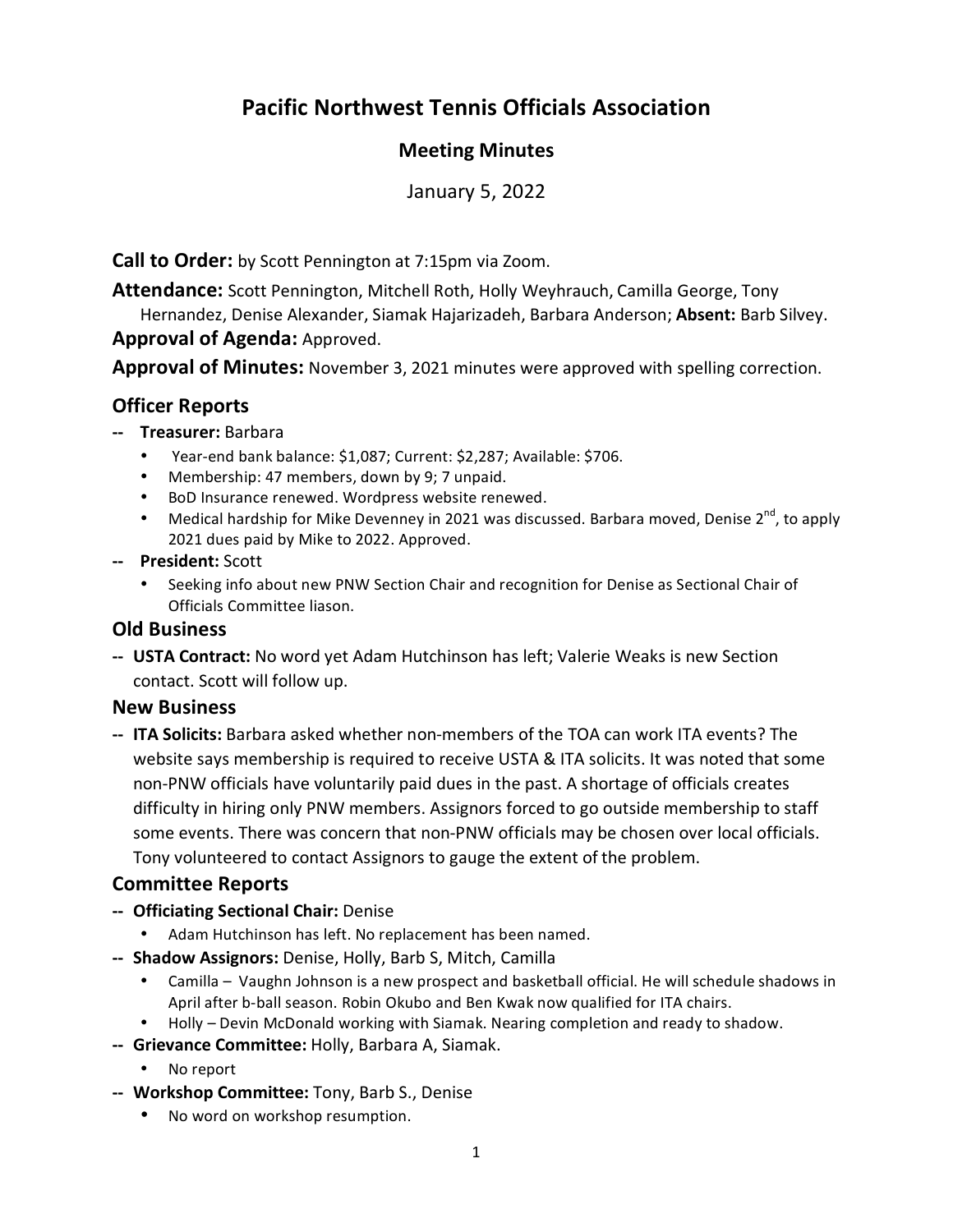# **Pacific Northwest Tennis Officials Association**

## **Meeting Minutes**

January 5, 2022

**Call to Order:** by Scott Pennington at 7:15pm via Zoom.

**Attendance:** Scott Pennington, Mitchell Roth, Holly Weyhrauch, Camilla George, Tony Hernandez, Denise Alexander, Siamak Hajarizadeh, Barbara Anderson; **Absent:** Barb Silvey. **Approval of Agenda:** Approved.

**Approval of Minutes:** November 3, 2021 minutes were approved with spelling correction.

# **Officer Reports**

- **‐‐ Treasurer:** Barbara
	- Year-end bank balance: \$1,087; Current: \$2,287; Available: \$706.
	- Membership: 47 members, down by 9; 7 unpaid.
	- BoD Insurance renewed. Wordpress website renewed.
	- Medical hardship for Mike Devenney in 2021 was discussed. Barbara moved, Denise 2<sup>nd</sup>, to apply 2021 dues paid by Mike to 2022. Approved.
- **‐‐ President:** Scott
	- Seeking info about new PNW Section Chair and recognition for Denise as Sectional Chair of Officials Committee liason.

#### **Old Business**

**‐‐ USTA Contract:** No word yet Adam Hutchinson has left; Valerie Weaks is new Section contact. Scott will follow up.

#### **New Business**

**‐‐ ITA Solicits:** Barbara asked whether non‐members of the TOA can work ITA events? The website says membership is required to receive USTA & ITA solicits. It was noted that some non‐PNW officials have voluntarily paid dues in the past. A shortage of officials creates difficulty in hiring only PNW members. Assignors forced to go outside membership to staff some events. There was concern that non‐PNW officials may be chosen over local officials. Tony volunteered to contact Assignors to gauge the extent of the problem.

## **Committee Reports**

- **‐‐ Officiating Sectional Chair:** Denise
	- Adam Hutchinson has left. No replacement has been named.
- **‐‐ Shadow Assignors:** Denise, Holly, Barb S, Mitch, Camilla
	- Camilla Vaughn Johnson is a new prospect and basketball official. He will schedule shadows in April after b‐ball season. Robin Okubo and Ben Kwak now qualified for ITA chairs.
	- Holly Devin McDonald working with Siamak. Nearing completion and ready to shadow.
- **‐‐ Grievance Committee:** Holly, Barbara A, Siamak.
	- No report
- **‐‐ Workshop Committee:** Tony, Barb S., Denise
	- No word on workshop resumption.